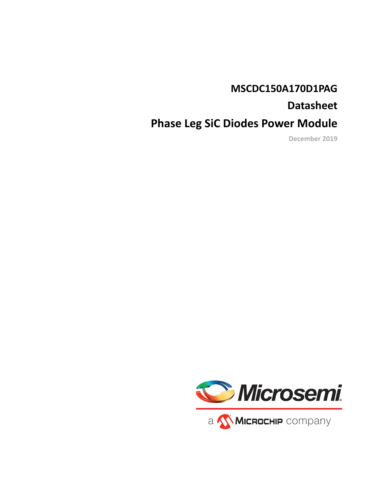### **MSCDC150A170D1PAG**

## **Datasheet**

# **Phase Leg SiC Diodes Power Module**

**December 2019**

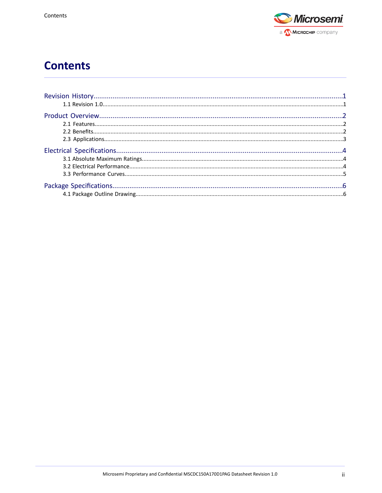

# **Contents**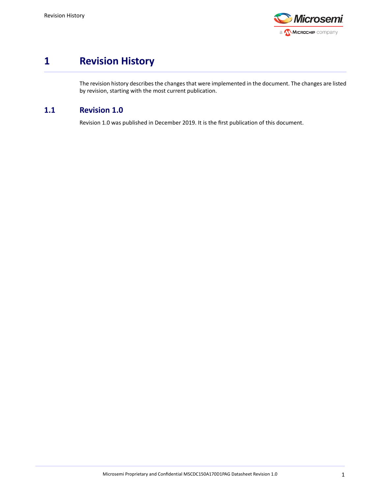

### <span id="page-2-0"></span>**1 Revision History**

<span id="page-2-1"></span>The revision history describes the changes that were implemented in the document. The changes are listed by revision, starting with the most current publication.

#### **1.1 Revision 1.0**

Revision 1.0 was published in December 2019. It is the first publication of this document.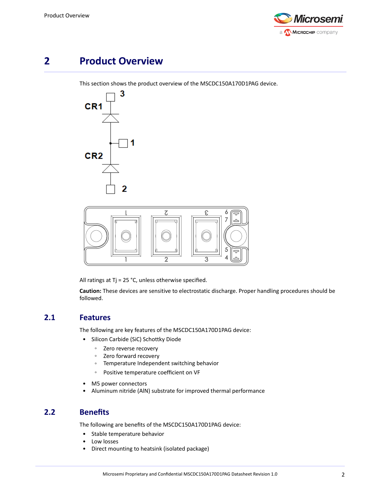

### <span id="page-3-0"></span>**2 Product Overview**

This section shows the product overview of the MSCDC150A170D1PAG device.



<span id="page-3-1"></span>All ratings at Tj = 25 °C, unless otherwise specified.

**Caution:** These devices are sensitive to electrostatic discharge. Proper handling procedures should be followed.

#### **2.1 Features**

The following are key features of the MSCDC150A170D1PAG device:

- Silicon Carbide (SiC) Schottky Diode
	- Zero reverse recovery
	- Zero forward recovery
	- Temperature Independent switching behavior
	- Positive temperature coefficient on VF
- <span id="page-3-2"></span>• M5 power connectors
- Aluminum nitride (AlN) substrate for improved thermal performance

#### **2.2 Benefits**

The following are benefits of the MSCDC150A170D1PAG device:

- Stable temperature behavior
- Low losses
- Direct mounting to heatsink (isolated package)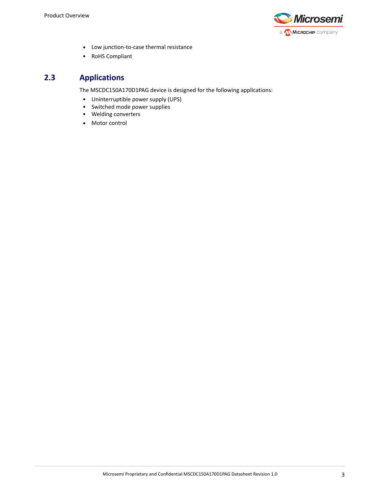

- Low junction-to-case thermal resistance
- <span id="page-4-0"></span>• RoHS Compliant

### **2.3 Applications**

The MSCDC150A170D1PAG device is designed for the following applications:

- Uninterruptible power supply (UPS)
- Switched mode power supplies
- Welding converters
- Motor control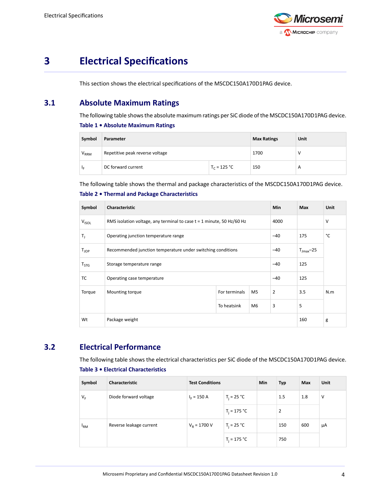

### <span id="page-5-0"></span>**3 Electrical Specifications**

<span id="page-5-1"></span>This section shows the electrical specifications of the MSCDC150A170D1PAG device.

#### **3.1 Absolute Maximum Ratings**

The following table shows the absolute maximum ratings per SiC diode of the MSCDC150A170D1PAG device. **Table 1 • Absolute Maximum Ratings**

| Symbol    | Parameter                       |                | <b>Max Ratings</b> | Unit |
|-----------|---------------------------------|----------------|--------------------|------|
| $V_{RRM}$ | Repetitive peak reverse voltage |                | 1700               |      |
| 1p        | DC forward current              | $T_c = 125 °C$ | 150                | А    |

The following table shows the thermal and package characteristics of the MSCDC150A170D1PAG device. **Table 2 • Thermal and Package Characteristics**

| Symbol             | Characteristic                                                          |               |                | <b>Min</b>     | <b>Max</b>             | <b>Unit</b> |
|--------------------|-------------------------------------------------------------------------|---------------|----------------|----------------|------------------------|-------------|
| V <sub>ISOL</sub>  | RMS isolation voltage, any terminal to case $t = 1$ minute, 50 Hz/60 Hz |               |                | 4000           |                        | V           |
| $T_{\rm J}$        | Operating junction temperature range                                    |               |                | $-40$          | 175                    | °C          |
| $T_{\mathsf{JOP}}$ | Recommended junction temperature under switching conditions             |               |                | -40            | $T_{\text{Jmax}}$ – 25 |             |
| $T_{STG}$          | Storage temperature range                                               |               |                | $-40$          | 125                    |             |
| TC                 | Operating case temperature                                              |               |                | $-40$          | 125                    |             |
| Torque             | Mounting torque                                                         | For terminals | M <sub>5</sub> | $\overline{2}$ | 3.5                    | N.m         |
|                    |                                                                         | To heatsink   | M <sub>6</sub> | 3              | 5                      |             |
| Wt                 | Package weight                                                          |               |                |                | 160                    | g           |

#### <span id="page-5-2"></span>**3.2 Electrical Performance**

The following table shows the electrical characteristics per SiC diode of the MSCDC150A170D1PAG device. **Table 3 • Electrical Characteristics**

| Symbol       | Characteristic          | <b>Test Conditions</b> |                | <b>Min</b>     | <b>Typ</b> | Max | Unit |
|--------------|-------------------------|------------------------|----------------|----------------|------------|-----|------|
| $V_F$        | Diode forward voltage   | $I_F = 150 A$          | $T_i = 25 °C$  |                | 1.5        | 1.8 | V    |
|              |                         | $T_i = 175 °C$         |                | $\overline{2}$ |            |     |      |
| $I_{\rm RM}$ | Reverse leakage current | $V_R = 1700 V$         | $T_i = 25 °C$  |                | 150        | 600 | μA   |
|              |                         |                        | $T_i = 175 °C$ |                | 750        |     |      |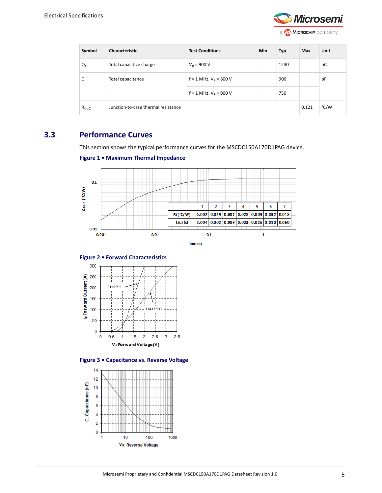

| Symbol     | <b>Characteristic</b>               | <b>Test Conditions</b>     | Min | <b>Typ</b> | Max   | Unit |
|------------|-------------------------------------|----------------------------|-----|------------|-------|------|
| $Q_{C}$    | Total capacitive charge             | $V_R = 900 V$              |     | 1230       |       | nC   |
| C          | Total capacitance                   | $f = 1$ MHz, $V_R = 600$ V |     | 900        |       | pF   |
|            |                                     | $f = 1$ MHz, $V_R = 900$ V |     | 750        |       |      |
| $R_{thJC}$ | Junction-to-case thermal resistance |                            |     |            | 0.121 | °C/W |

#### **3.3 Performance Curves**

<span id="page-6-0"></span>This section shows the typical performance curves for the MSCDC150A170D1PAG device.

```
Figure 1 • Maximum Thermal Impedance
```


**Figure 2 • Forward Characteristics**





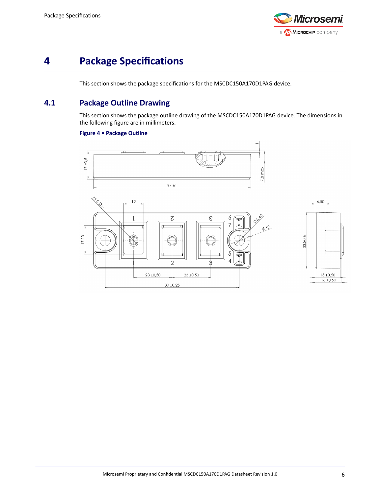

## <span id="page-7-0"></span>**4 Package Specifications**

<span id="page-7-1"></span>This section shows the package specifications for the MSCDC150A170D1PAG device.

#### **4.1 Package Outline Drawing**

This section shows the package outline drawing of the MSCDC150A170D1PAG device. The dimensions in the following figure are in millimeters.

#### **Figure 4 • Package Outline**